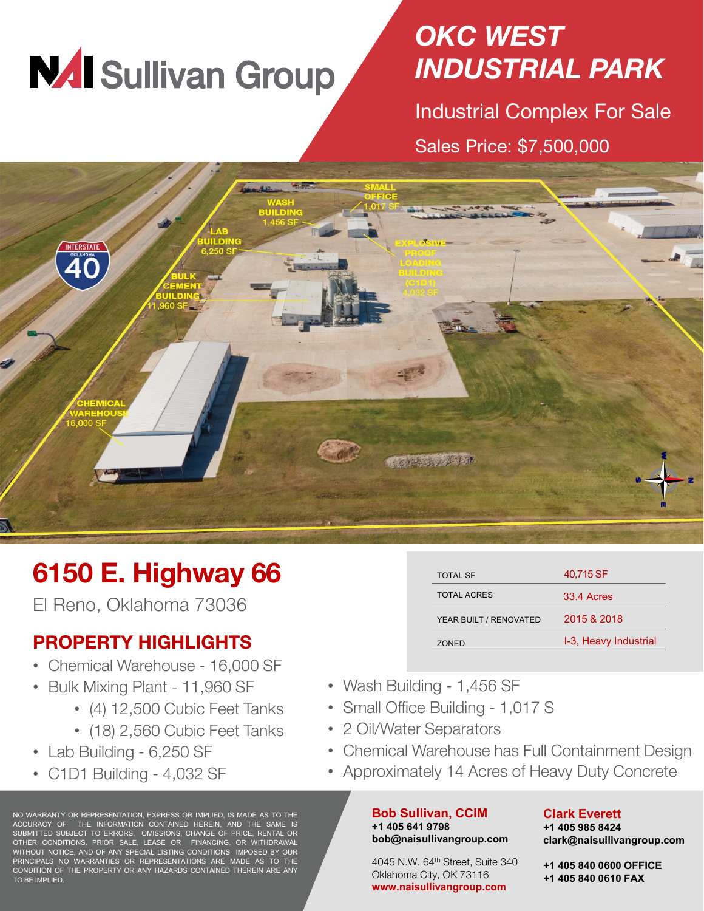# **NAI Sullivan Group**

### *OKC WEST INDUSTRIAL PARK*

Industrial Complex For Sale Sales Price: \$7,500,000



## **6150 E. Highway 66**

El Reno, Oklahoma 73036

### **PROPERTY HIGHLIGHTS**

- Chemical Warehouse 16,000 SF
- Bulk Mixing Plant 11,960 SF
	- (4) 12,500 Cubic Feet Tanks
	- (18) 2,560 Cubic Feet Tanks
- Lab Building 6,250 SF
- C1D1 Building 4,032 SF

NO WARRANTY OR REPRESENTATION, EXPRESS OR IMPLIED, IS MADE AS TO THE ACCURACY OF THE INFORMATION CONTAINED HEREIN, AND THE SAME IS SUBMITTED SUBJECT TO ERRORS, OMISSIONS, CHANGE OF PRICE, RENTAL OR OTHER CONDITIONS, PRIOR SALE, LEASE OR FINANCING, OR WITHDRAWAL WITHOUT NOTICE, AND OF ANY SPECIAL LISTING CONDITIONS IMPOSED BY OUR PRINCIPALS NO WARRANTIES OR REPRESENTATIONS ARE MADE AS TO THE CONDITION OF THE PROPERTY OR ANY HAZARDS CONTAINED THEREIN ARE ANY TO BE IMPLIED.

| <b>TOTAL SF</b>        | 40,715 SF             |
|------------------------|-----------------------|
| TOTAL ACRES            | 33.4 Acres            |
| YEAR BUILT / RENOVATED | 2015 & 2018           |
| <b>70NFD</b>           | I-3, Heavy Industrial |

- Wash Building 1,456 SF
- Small Office Building 1,017 S
- 2 Oil/Water Separators
- Chemical Warehouse has Full Containment Design
- Approximately 14 Acres of Heavy Duty Concrete

#### **Bob Sullivan, CCIM +1 405 641 9798 bob@naisullivangroup.com**

#### 4045 N.W. 64th Street, Suite 340 Oklahoma City, OK 73116 **www.naisullivangroup.com**

#### **Clark Everett +1 405 985 8424 clark@naisullivangroup.com**

**+1 405 840 0600 OFFICE**

**+1 405 840 0610 FAX**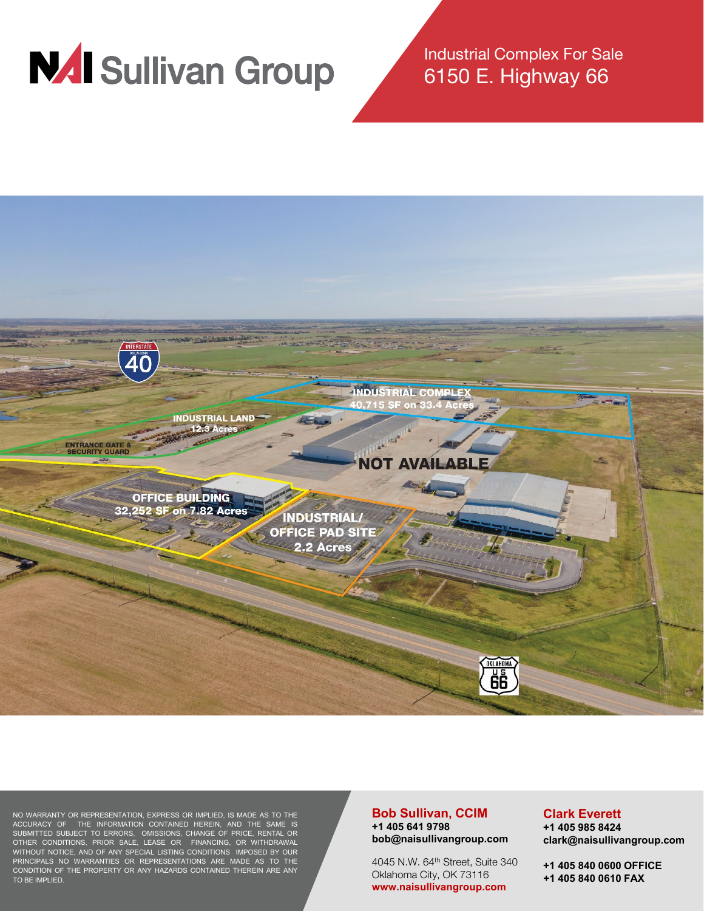

Industrial Complex For Sale 6150 E. Highway 66



NO WARRANTY OR REPRESENTATION, EXPRESS OR IMPLIED, IS MADE AS TO THE ACCURACY OF THE INFORMATION CONTAINED HEREIN, AND THE SAME IS SUBMITTED SUBJECT TO ERRORS, OMISSIONS, CHANGE OF PRICE, RENTAL OR OTHER CONDITIONS, PRIOR SALE, LEASE OR FINANCING, OR WITHDRAWAL WITHOUT NOTICE, AND OF ANY SPECIAL LISTING CONDITIONS IMPOSED BY OUR PRINCIPALS NO WARRANTIES OR REPRESENTATIONS ARE MADE AS TO THE CONDITION OF THE PROPERTY OR ANY HAZARDS CONTAINED THEREIN ARE ANY TO BE IMPLIED.

#### **Bob Sullivan, CCIM +1 405 641 9798 bob@naisullivangroup.com**

4045 N.W. 64<sup>th</sup> Street, Suite 340 Oklahoma City, OK 73116 **www.naisullivangroup.com**

#### **Clark Everett**

**+1 405 985 8424 clark@naisullivangroup.com**

**+1 405 840 0600 OFFICE +1 405 840 0610 FAX**